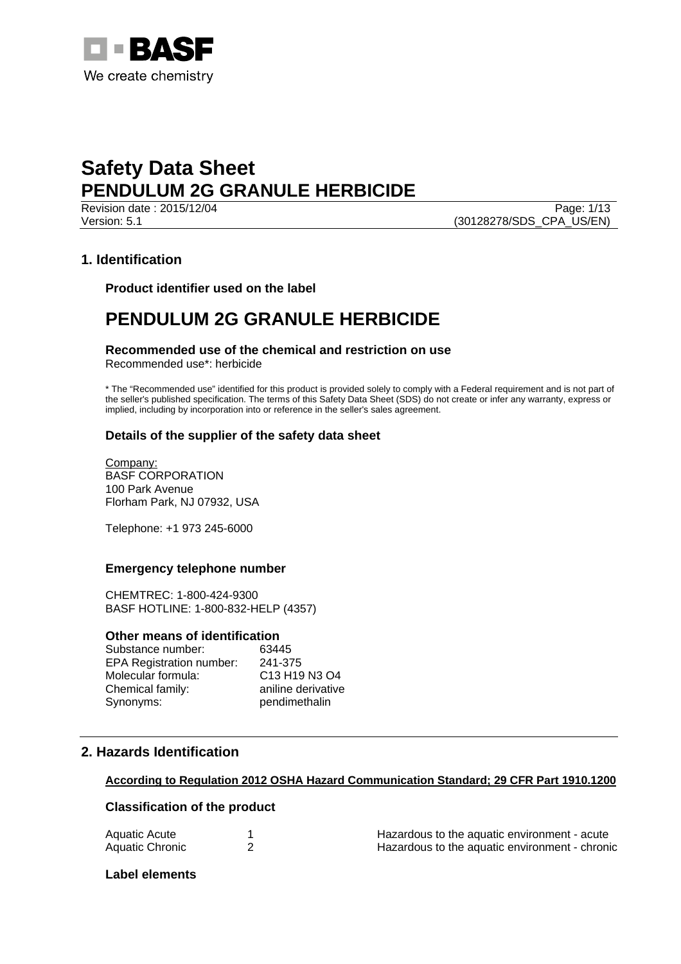

Revision date : 2015/12/04 Page: 1/13 Version: 5.1 (30128278/SDS\_CPA\_US/EN)

# **1. Identification**

**Product identifier used on the label** 

# **PENDULUM 2G GRANULE HERBICIDE**

# **Recommended use of the chemical and restriction on use**

Recommended use\*: herbicide

\* The "Recommended use" identified for this product is provided solely to comply with a Federal requirement and is not part of the seller's published specification. The terms of this Safety Data Sheet (SDS) do not create or infer any warranty, express or implied, including by incorporation into or reference in the seller's sales agreement.

# **Details of the supplier of the safety data sheet**

Company: BASF CORPORATION 100 Park Avenue Florham Park, NJ 07932, USA

Telephone: +1 973 245-6000

# **Emergency telephone number**

CHEMTREC: 1-800-424-9300 BASF HOTLINE: 1-800-832-HELP (4357)

#### **Other means of identification**

| Substance number:               | 63445              |
|---------------------------------|--------------------|
| <b>EPA Registration number:</b> | 241-375            |
| Molecular formula:              | C13 H19 N3 O4      |
| Chemical family:                | aniline derivative |
| Synonyms:                       | pendimethalin      |

# **2. Hazards Identification**

# **According to Regulation 2012 OSHA Hazard Communication Standard; 29 CFR Part 1910.1200**

# **Classification of the product**

| Aquatic Acute   | Hazardous to the aquatic environment - acute   |
|-----------------|------------------------------------------------|
| Aquatic Chronic | Hazardous to the aquatic environment - chronic |

### **Label elements**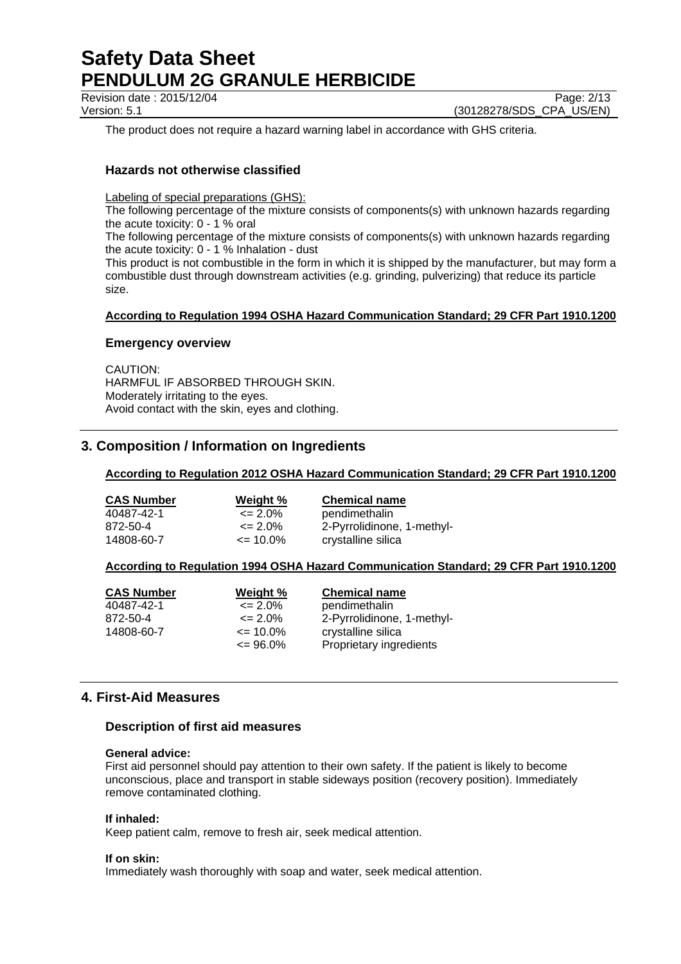Revision date : 2015/12/04 Page: 2/13

Version: 5.1 (30128278/SDS\_CPA\_US/EN)

The product does not require a hazard warning label in accordance with GHS criteria.

# **Hazards not otherwise classified**

Labeling of special preparations (GHS):

The following percentage of the mixture consists of components(s) with unknown hazards regarding the acute toxicity: 0 - 1 % oral

The following percentage of the mixture consists of components(s) with unknown hazards regarding the acute toxicity: 0 - 1 % Inhalation - dust

This product is not combustible in the form in which it is shipped by the manufacturer, but may form a combustible dust through downstream activities (e.g. grinding, pulverizing) that reduce its particle size.

#### **According to Regulation 1994 OSHA Hazard Communication Standard; 29 CFR Part 1910.1200**

#### **Emergency overview**

CAUTION: HARMFUL IF ABSORBED THROUGH SKIN. Moderately irritating to the eyes. Avoid contact with the skin, eyes and clothing.

# **3. Composition / Information on Ingredients**

#### **According to Regulation 2012 OSHA Hazard Communication Standard; 29 CFR Part 1910.1200**

| <b>CAS Number</b> | Weight %           | <b>Chemical name</b>       |
|-------------------|--------------------|----------------------------|
| 40487-42-1        | $\leq$ 2.0%        | pendimethalin              |
| 872-50-4          | $\epsilon = 2.0\%$ | 2-Pyrrolidinone, 1-methyl- |
| 14808-60-7        | $\epsilon$ = 10.0% | crystalline silica         |

#### **According to Regulation 1994 OSHA Hazard Communication Standard; 29 CFR Part 1910.1200**

| <b>CAS Number</b> | Weight %           | <b>Chemical name</b>       |
|-------------------|--------------------|----------------------------|
| 40487-42-1        | $\epsilon = 2.0\%$ | pendimethalin              |
| 872-50-4          | $\leq$ 2.0%        | 2-Pyrrolidinone, 1-methyl- |
| 14808-60-7        | $\leq$ 10.0%       | crystalline silica         |
|                   | $\leq$ 96.0%       | Proprietary ingredients    |

# **4. First-Aid Measures**

#### **Description of first aid measures**

#### **General advice:**

First aid personnel should pay attention to their own safety. If the patient is likely to become unconscious, place and transport in stable sideways position (recovery position). Immediately remove contaminated clothing.

#### **If inhaled:**

Keep patient calm, remove to fresh air, seek medical attention.

#### **If on skin:**

Immediately wash thoroughly with soap and water, seek medical attention.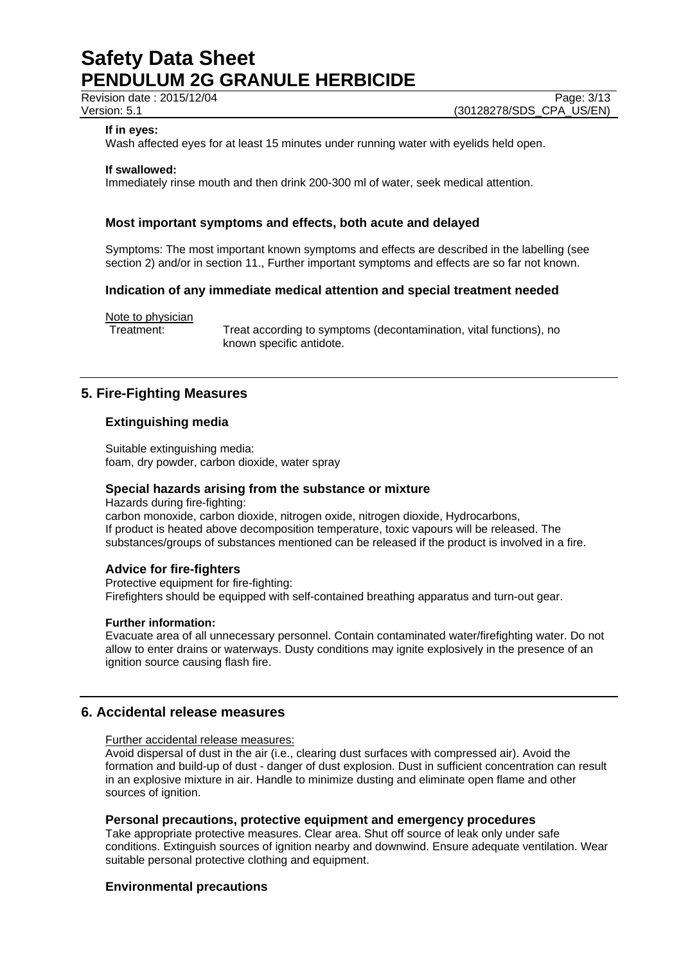Revision date : 2015/12/04 Page: 3/13

### **If in eyes:**

Wash affected eyes for at least 15 minutes under running water with eyelids held open.

#### **If swallowed:**

Immediately rinse mouth and then drink 200-300 ml of water, seek medical attention.

### **Most important symptoms and effects, both acute and delayed**

Symptoms: The most important known symptoms and effects are described in the labelling (see section 2) and/or in section 11., Further important symptoms and effects are so far not known.

### **Indication of any immediate medical attention and special treatment needed**

Note to physician

Treatment: Treat according to symptoms (decontamination, vital functions), no known specific antidote.

# **5. Fire-Fighting Measures**

### **Extinguishing media**

Suitable extinguishing media: foam, dry powder, carbon dioxide, water spray

#### **Special hazards arising from the substance or mixture**

Hazards during fire-fighting: carbon monoxide, carbon dioxide, nitrogen oxide, nitrogen dioxide, Hydrocarbons, If product is heated above decomposition temperature, toxic vapours will be released. The substances/groups of substances mentioned can be released if the product is involved in a fire.

#### **Advice for fire-fighters**

Protective equipment for fire-fighting: Firefighters should be equipped with self-contained breathing apparatus and turn-out gear.

#### **Further information:**

Evacuate area of all unnecessary personnel. Contain contaminated water/firefighting water. Do not allow to enter drains or waterways. Dusty conditions may ignite explosively in the presence of an ignition source causing flash fire.

# **6. Accidental release measures**

Further accidental release measures:

Avoid dispersal of dust in the air (i.e., clearing dust surfaces with compressed air). Avoid the formation and build-up of dust - danger of dust explosion. Dust in sufficient concentration can result in an explosive mixture in air. Handle to minimize dusting and eliminate open flame and other sources of ignition.

#### **Personal precautions, protective equipment and emergency procedures**

Take appropriate protective measures. Clear area. Shut off source of leak only under safe conditions. Extinguish sources of ignition nearby and downwind. Ensure adequate ventilation. Wear suitable personal protective clothing and equipment.

#### **Environmental precautions**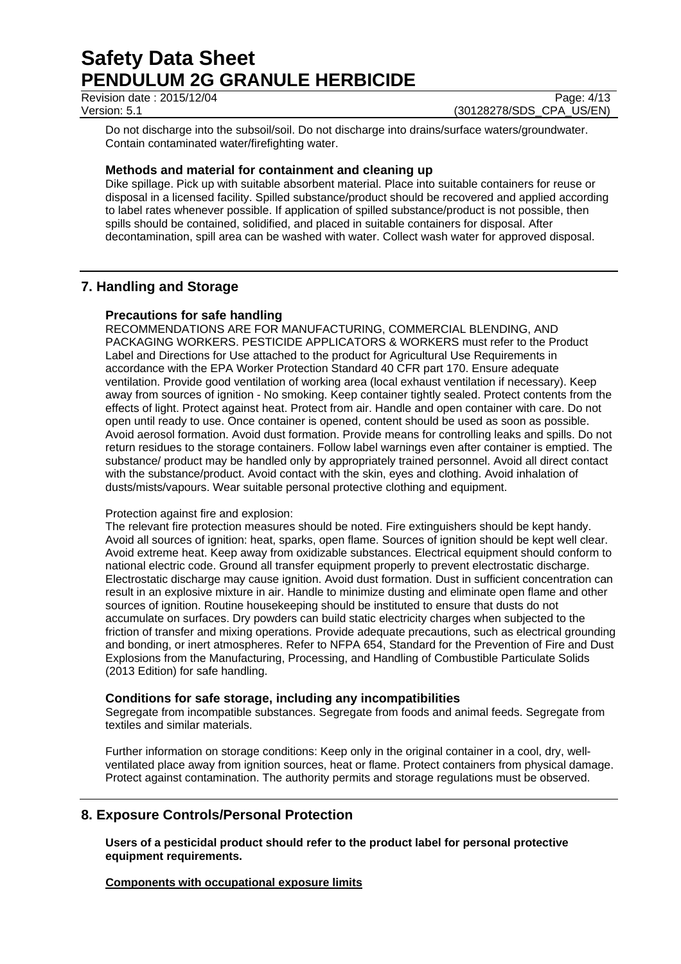Revision date : 2015/12/04 Page: 4/13

Version: 5.1 (30128278/SDS\_CPA\_US/EN)

Do not discharge into the subsoil/soil. Do not discharge into drains/surface waters/groundwater. Contain contaminated water/firefighting water.

### **Methods and material for containment and cleaning up**

Dike spillage. Pick up with suitable absorbent material. Place into suitable containers for reuse or disposal in a licensed facility. Spilled substance/product should be recovered and applied according to label rates whenever possible. If application of spilled substance/product is not possible, then spills should be contained, solidified, and placed in suitable containers for disposal. After decontamination, spill area can be washed with water. Collect wash water for approved disposal.

# **7. Handling and Storage**

### **Precautions for safe handling**

RECOMMENDATIONS ARE FOR MANUFACTURING, COMMERCIAL BLENDING, AND PACKAGING WORKERS. PESTICIDE APPLICATORS & WORKERS must refer to the Product Label and Directions for Use attached to the product for Agricultural Use Requirements in accordance with the EPA Worker Protection Standard 40 CFR part 170. Ensure adequate ventilation. Provide good ventilation of working area (local exhaust ventilation if necessary). Keep away from sources of ignition - No smoking. Keep container tightly sealed. Protect contents from the effects of light. Protect against heat. Protect from air. Handle and open container with care. Do not open until ready to use. Once container is opened, content should be used as soon as possible. Avoid aerosol formation. Avoid dust formation. Provide means for controlling leaks and spills. Do not return residues to the storage containers. Follow label warnings even after container is emptied. The substance/ product may be handled only by appropriately trained personnel. Avoid all direct contact with the substance/product. Avoid contact with the skin, eyes and clothing. Avoid inhalation of dusts/mists/vapours. Wear suitable personal protective clothing and equipment.

#### Protection against fire and explosion:

The relevant fire protection measures should be noted. Fire extinguishers should be kept handy. Avoid all sources of ignition: heat, sparks, open flame. Sources of ignition should be kept well clear. Avoid extreme heat. Keep away from oxidizable substances. Electrical equipment should conform to national electric code. Ground all transfer equipment properly to prevent electrostatic discharge. Electrostatic discharge may cause ignition. Avoid dust formation. Dust in sufficient concentration can result in an explosive mixture in air. Handle to minimize dusting and eliminate open flame and other sources of ignition. Routine housekeeping should be instituted to ensure that dusts do not accumulate on surfaces. Dry powders can build static electricity charges when subjected to the friction of transfer and mixing operations. Provide adequate precautions, such as electrical grounding and bonding, or inert atmospheres. Refer to NFPA 654, Standard for the Prevention of Fire and Dust Explosions from the Manufacturing, Processing, and Handling of Combustible Particulate Solids (2013 Edition) for safe handling.

#### **Conditions for safe storage, including any incompatibilities**

Segregate from incompatible substances. Segregate from foods and animal feeds. Segregate from textiles and similar materials.

Further information on storage conditions: Keep only in the original container in a cool, dry, wellventilated place away from ignition sources, heat or flame. Protect containers from physical damage. Protect against contamination. The authority permits and storage regulations must be observed.

# **8. Exposure Controls/Personal Protection**

**Users of a pesticidal product should refer to the product label for personal protective equipment requirements.** 

**Components with occupational exposure limits**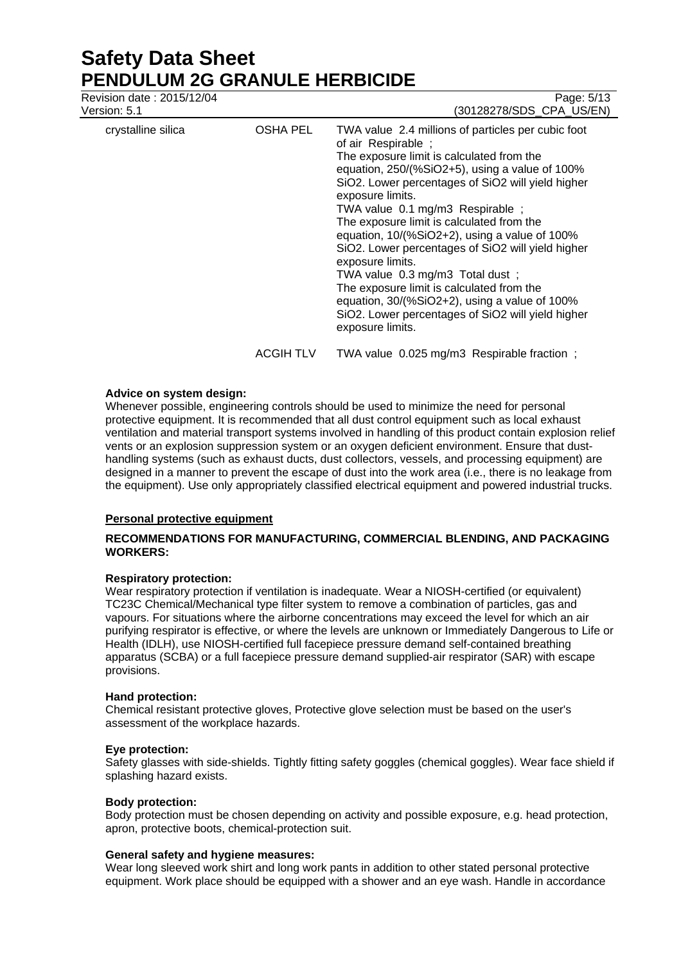Revision date : 2015/12/04 Page: 5/13

| crystalline silica | <b>OSHA PEL</b>  | TWA value 2.4 millions of particles per cubic foot<br>of air Respirable;<br>The exposure limit is calculated from the<br>equation, 250/(%SiO2+5), using a value of 100%<br>SiO2. Lower percentages of SiO2 will yield higher<br>exposure limits.<br>TWA value 0.1 mg/m3 Respirable;<br>The exposure limit is calculated from the<br>equation, 10/(%SiO2+2), using a value of 100%<br>SiO2. Lower percentages of SiO2 will yield higher<br>exposure limits.<br>TWA value 0.3 mg/m3 Total dust;<br>The exposure limit is calculated from the<br>equation, 30/(%SiO2+2), using a value of 100%<br>SiO2. Lower percentages of SiO2 will yield higher<br>exposure limits. |
|--------------------|------------------|----------------------------------------------------------------------------------------------------------------------------------------------------------------------------------------------------------------------------------------------------------------------------------------------------------------------------------------------------------------------------------------------------------------------------------------------------------------------------------------------------------------------------------------------------------------------------------------------------------------------------------------------------------------------|
|                    | <b>ACGIH TLV</b> | TWA value 0.025 mg/m3 Respirable fraction;                                                                                                                                                                                                                                                                                                                                                                                                                                                                                                                                                                                                                           |

#### **Advice on system design:**

Whenever possible, engineering controls should be used to minimize the need for personal protective equipment. It is recommended that all dust control equipment such as local exhaust ventilation and material transport systems involved in handling of this product contain explosion relief vents or an explosion suppression system or an oxygen deficient environment. Ensure that dusthandling systems (such as exhaust ducts, dust collectors, vessels, and processing equipment) are designed in a manner to prevent the escape of dust into the work area (i.e., there is no leakage from the equipment). Use only appropriately classified electrical equipment and powered industrial trucks.

# **Personal protective equipment**

### **RECOMMENDATIONS FOR MANUFACTURING, COMMERCIAL BLENDING, AND PACKAGING WORKERS:**

#### **Respiratory protection:**

Wear respiratory protection if ventilation is inadequate. Wear a NIOSH-certified (or equivalent) TC23C Chemical/Mechanical type filter system to remove a combination of particles, gas and vapours. For situations where the airborne concentrations may exceed the level for which an air purifying respirator is effective, or where the levels are unknown or Immediately Dangerous to Life or Health (IDLH), use NIOSH-certified full facepiece pressure demand self-contained breathing apparatus (SCBA) or a full facepiece pressure demand supplied-air respirator (SAR) with escape provisions.

#### **Hand protection:**

Chemical resistant protective gloves, Protective glove selection must be based on the user's assessment of the workplace hazards.

#### **Eye protection:**

Safety glasses with side-shields. Tightly fitting safety goggles (chemical goggles). Wear face shield if splashing hazard exists.

#### **Body protection:**

Body protection must be chosen depending on activity and possible exposure, e.g. head protection, apron, protective boots, chemical-protection suit.

#### **General safety and hygiene measures:**

Wear long sleeved work shirt and long work pants in addition to other stated personal protective equipment. Work place should be equipped with a shower and an eye wash. Handle in accordance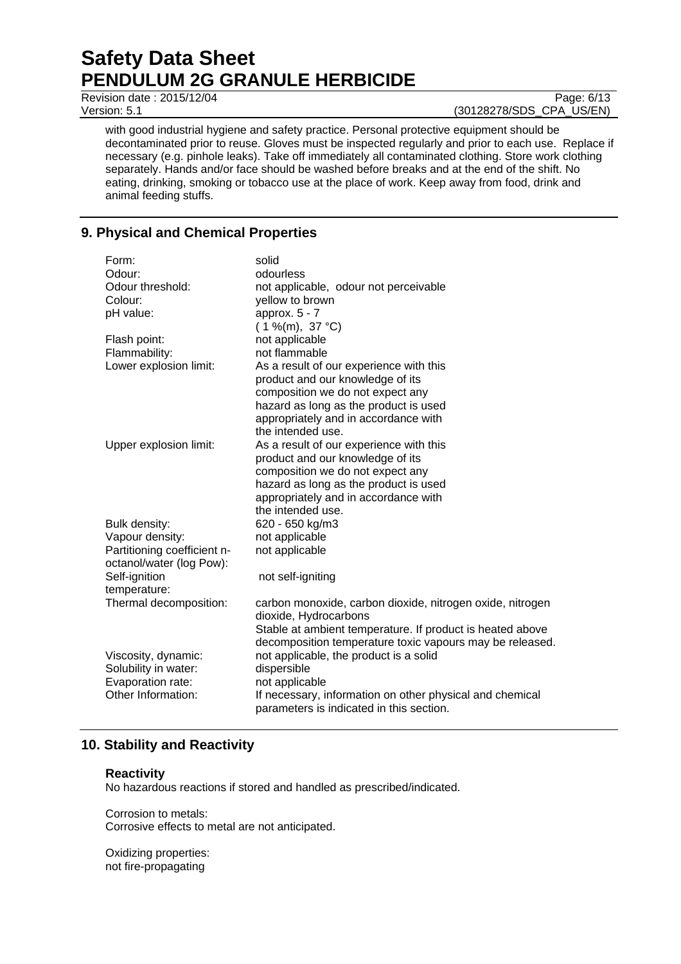Revision date : 2015/12/04 Page: 6/13

Version: 5.1 (30128278/SDS\_CPA\_US/EN)

with good industrial hygiene and safety practice. Personal protective equipment should be decontaminated prior to reuse. Gloves must be inspected regularly and prior to each use. Replace if necessary (e.g. pinhole leaks). Take off immediately all contaminated clothing. Store work clothing separately. Hands and/or face should be washed before breaks and at the end of the shift. No eating, drinking, smoking or tobacco use at the place of work. Keep away from food, drink and animal feeding stuffs.

# **9. Physical and Chemical Properties**

| Form:                       | solid                                                     |
|-----------------------------|-----------------------------------------------------------|
| Odour:                      | odourless                                                 |
| Odour threshold:            | not applicable, odour not perceivable                     |
| Colour:                     | yellow to brown                                           |
| pH value:                   | approx. $5 - 7$                                           |
|                             | $(1\%$ (m), 37 °C)                                        |
| Flash point:                | not applicable                                            |
| Flammability:               | not flammable                                             |
| Lower explosion limit:      | As a result of our experience with this                   |
|                             | product and our knowledge of its                          |
|                             | composition we do not expect any                          |
|                             | hazard as long as the product is used                     |
|                             | appropriately and in accordance with                      |
|                             | the intended use.                                         |
| Upper explosion limit:      | As a result of our experience with this                   |
|                             | product and our knowledge of its                          |
|                             | composition we do not expect any                          |
|                             | hazard as long as the product is used                     |
|                             | appropriately and in accordance with                      |
|                             | the intended use.                                         |
| Bulk density:               | 620 - 650 kg/m3                                           |
| Vapour density:             | not applicable                                            |
| Partitioning coefficient n- | not applicable                                            |
| octanol/water (log Pow):    |                                                           |
| Self-ignition               | not self-igniting                                         |
| temperature:                |                                                           |
| Thermal decomposition:      | carbon monoxide, carbon dioxide, nitrogen oxide, nitrogen |
|                             | dioxide, Hydrocarbons                                     |
|                             | Stable at ambient temperature. If product is heated above |
|                             | decomposition temperature toxic vapours may be released.  |
| Viscosity, dynamic:         | not applicable, the product is a solid                    |
| Solubility in water:        | dispersible                                               |
| Evaporation rate:           | not applicable                                            |
| Other Information:          | If necessary, information on other physical and chemical  |
|                             | parameters is indicated in this section.                  |

# **10. Stability and Reactivity**

#### **Reactivity**

No hazardous reactions if stored and handled as prescribed/indicated.

Corrosion to metals: Corrosive effects to metal are not anticipated.

Oxidizing properties: not fire-propagating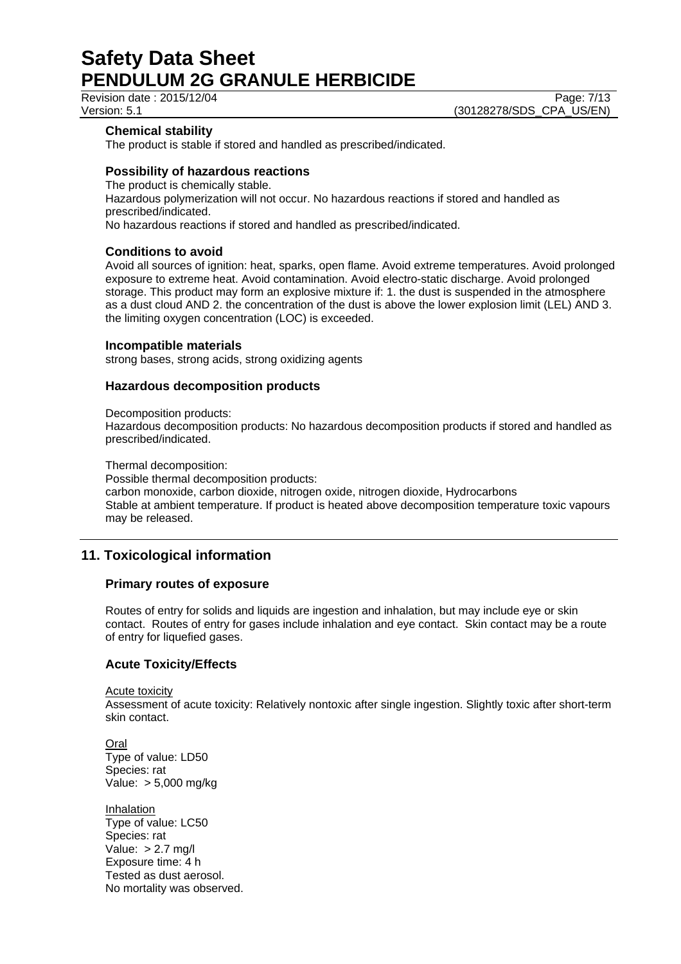Revision date : 2015/12/04 Page: 7/13

### **Chemical stability**

The product is stable if stored and handled as prescribed/indicated.

### **Possibility of hazardous reactions**

The product is chemically stable. Hazardous polymerization will not occur. No hazardous reactions if stored and handled as prescribed/indicated. No hazardous reactions if stored and handled as prescribed/indicated.

### **Conditions to avoid**

Avoid all sources of ignition: heat, sparks, open flame. Avoid extreme temperatures. Avoid prolonged exposure to extreme heat. Avoid contamination. Avoid electro-static discharge. Avoid prolonged storage. This product may form an explosive mixture if: 1. the dust is suspended in the atmosphere as a dust cloud AND 2. the concentration of the dust is above the lower explosion limit (LEL) AND 3. the limiting oxygen concentration (LOC) is exceeded.

#### **Incompatible materials**

strong bases, strong acids, strong oxidizing agents

# **Hazardous decomposition products**

Decomposition products:

Hazardous decomposition products: No hazardous decomposition products if stored and handled as prescribed/indicated.

Thermal decomposition:

Possible thermal decomposition products: carbon monoxide, carbon dioxide, nitrogen oxide, nitrogen dioxide, Hydrocarbons Stable at ambient temperature. If product is heated above decomposition temperature toxic vapours may be released.

# **11. Toxicological information**

# **Primary routes of exposure**

Routes of entry for solids and liquids are ingestion and inhalation, but may include eye or skin contact. Routes of entry for gases include inhalation and eye contact. Skin contact may be a route of entry for liquefied gases.

# **Acute Toxicity/Effects**

Acute toxicity Assessment of acute toxicity: Relatively nontoxic after single ingestion. Slightly toxic after short-term skin contact.

Oral Type of value: LD50 Species: rat Value: > 5,000 mg/kg

Inhalation Type of value: LC50 Species: rat Value:  $> 2.7$  mg/l Exposure time: 4 h Tested as dust aerosol. No mortality was observed.

Version: 5.1 (30128278/SDS\_CPA\_US/EN)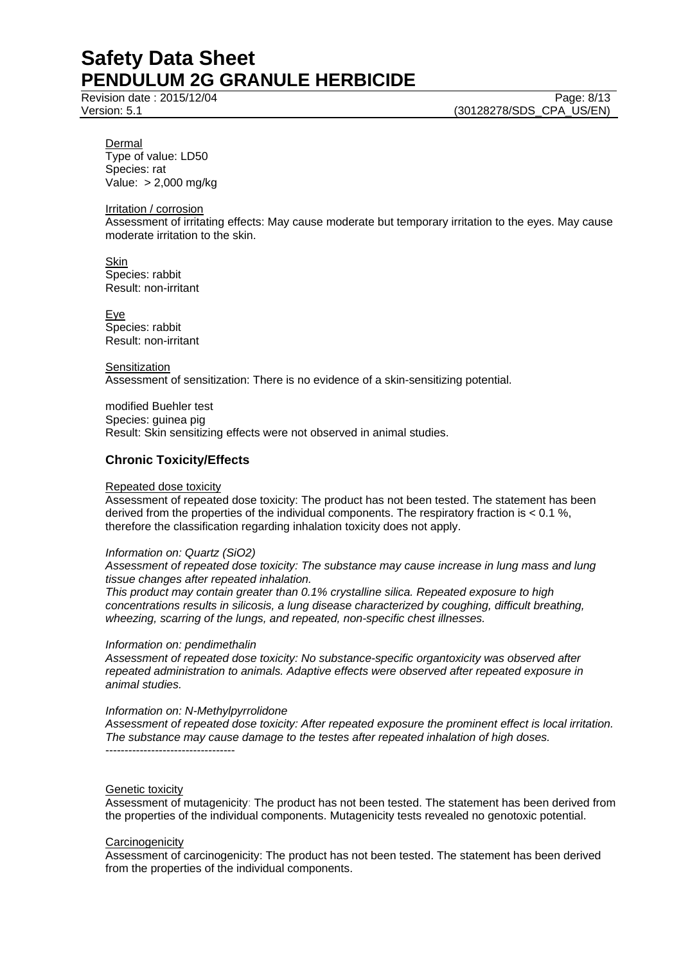Revision date : 2015/12/04 Page: 8/13

Version: 5.1 (30128278/SDS\_CPA\_US/EN)

Dermal Type of value: LD50 Species: rat Value: > 2,000 mg/kg

Irritation / corrosion

Assessment of irritating effects: May cause moderate but temporary irritation to the eyes. May cause moderate irritation to the skin.

Skin Species: rabbit Result: non-irritant

Eye Species: rabbit Result: non-irritant

**Sensitization** 

Assessment of sensitization: There is no evidence of a skin-sensitizing potential.

modified Buehler test Species: guinea pig Result: Skin sensitizing effects were not observed in animal studies.

### **Chronic Toxicity/Effects**

#### Repeated dose toxicity

Assessment of repeated dose toxicity: The product has not been tested. The statement has been derived from the properties of the individual components. The respiratory fraction is < 0.1 %, therefore the classification regarding inhalation toxicity does not apply.

#### *Information on: Quartz (SiO2)*

*Assessment of repeated dose toxicity: The substance may cause increase in lung mass and lung tissue changes after repeated inhalation.* 

*This product may contain greater than 0.1% crystalline silica. Repeated exposure to high concentrations results in silicosis, a lung disease characterized by coughing, difficult breathing, wheezing, scarring of the lungs, and repeated, non-specific chest illnesses.* 

#### *Information on: pendimethalin*

*Assessment of repeated dose toxicity: No substance-specific organtoxicity was observed after repeated administration to animals. Adaptive effects were observed after repeated exposure in animal studies.* 

### *Information on: N-Methylpyrrolidone*

*Assessment of repeated dose toxicity: After repeated exposure the prominent effect is local irritation. The substance may cause damage to the testes after repeated inhalation of high doses.*  ----------------------------------

#### Genetic toxicity

Assessment of mutagenicity: The product has not been tested. The statement has been derived from the properties of the individual components. Mutagenicity tests revealed no genotoxic potential.

#### **Carcinogenicity**

Assessment of carcinogenicity: The product has not been tested. The statement has been derived from the properties of the individual components.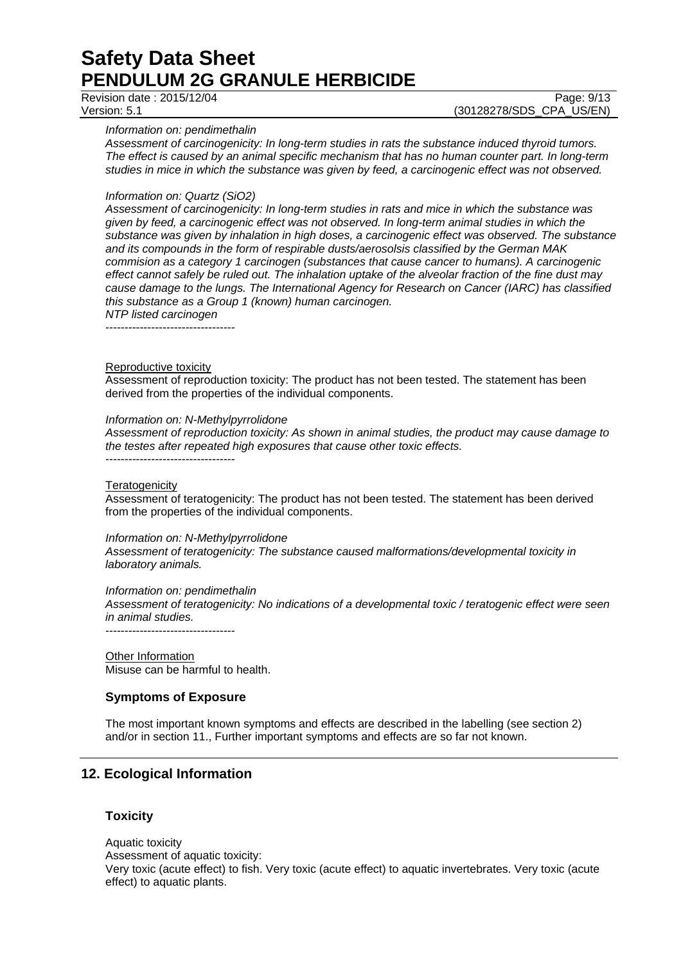Revision date : 2015/12/04 Page: 9/13

Version: 5.1 (30128278/SDS\_CPA\_US/EN)

*Information on: pendimethalin* 

*Assessment of carcinogenicity: In long-term studies in rats the substance induced thyroid tumors. The effect is caused by an animal specific mechanism that has no human counter part. In long-term studies in mice in which the substance was given by feed, a carcinogenic effect was not observed.* 

#### *Information on: Quartz (SiO2)*

*Assessment of carcinogenicity: In long-term studies in rats and mice in which the substance was given by feed, a carcinogenic effect was not observed. In long-term animal studies in which the substance was given by inhalation in high doses, a carcinogenic effect was observed. The substance and its compounds in the form of respirable dusts/aerosolsis classified by the German MAK commision as a category 1 carcinogen (substances that cause cancer to humans). A carcinogenic effect cannot safely be ruled out. The inhalation uptake of the alveolar fraction of the fine dust may cause damage to the lungs. The International Agency for Research on Cancer (IARC) has classified this substance as a Group 1 (known) human carcinogen. NTP listed carcinogen* 

 $-$ 

#### Reproductive toxicity

Assessment of reproduction toxicity: The product has not been tested. The statement has been derived from the properties of the individual components.

#### *Information on: N-Methylpyrrolidone*

*Assessment of reproduction toxicity: As shown in animal studies, the product may cause damage to the testes after repeated high exposures that cause other toxic effects.*  ----------------------------------

#### **Teratogenicity**

Assessment of teratogenicity: The product has not been tested. The statement has been derived from the properties of the individual components.

#### *Information on: N-Methylpyrrolidone*

*Assessment of teratogenicity: The substance caused malformations/developmental toxicity in laboratory animals.* 

#### *Information on: pendimethalin*

*Assessment of teratogenicity: No indications of a developmental toxic / teratogenic effect were seen in animal studies.* 

----------------------------------

**Other Information** Misuse can be harmful to health.

#### **Symptoms of Exposure**

The most important known symptoms and effects are described in the labelling (see section 2) and/or in section 11., Further important symptoms and effects are so far not known.

# **12. Ecological Information**

#### **Toxicity**

Aquatic toxicity Assessment of aquatic toxicity: Very toxic (acute effect) to fish. Very toxic (acute effect) to aquatic invertebrates. Very toxic (acute effect) to aquatic plants.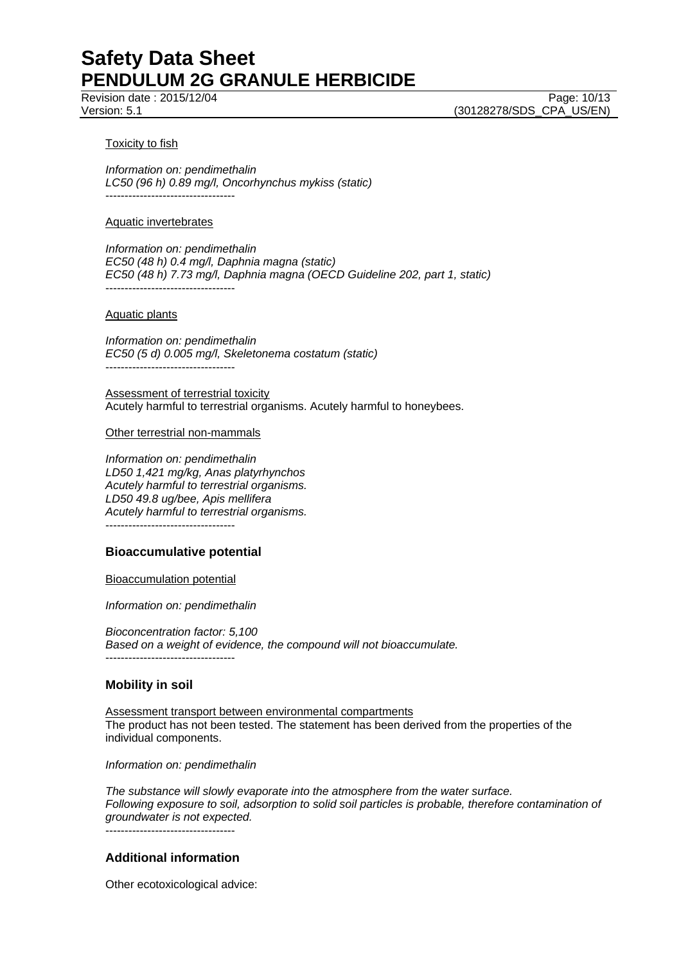Revision date : 2015/12/04 Page: 10/13

Version: 5.1 (30128278/SDS\_CPA\_US/EN)

#### Toxicity to fish

*Information on: pendimethalin LC50 (96 h) 0.89 mg/l, Oncorhynchus mykiss (static)*  ----------------------------------

#### Aquatic invertebrates

*Information on: pendimethalin EC50 (48 h) 0.4 mg/l, Daphnia magna (static) EC50 (48 h) 7.73 mg/l, Daphnia magna (OECD Guideline 202, part 1, static)*  ----------------------------------

#### Aquatic plants

*Information on: pendimethalin EC50 (5 d) 0.005 mg/l, Skeletonema costatum (static)*  ----------------------------------

Assessment of terrestrial toxicity Acutely harmful to terrestrial organisms. Acutely harmful to honeybees.

#### Other terrestrial non-mammals

*Information on: pendimethalin LD50 1,421 mg/kg, Anas platyrhynchos Acutely harmful to terrestrial organisms. LD50 49.8 ug/bee, Apis mellifera Acutely harmful to terrestrial organisms.*  ----------------------------------

#### **Bioaccumulative potential**

#### Bioaccumulation potential

*Information on: pendimethalin* 

*Bioconcentration factor: 5,100 Based on a weight of evidence, the compound will not bioaccumulate.*  ----------------------------------

#### **Mobility in soil**

Assessment transport between environmental compartments The product has not been tested. The statement has been derived from the properties of the individual components.

*Information on: pendimethalin* 

*The substance will slowly evaporate into the atmosphere from the water surface. Following exposure to soil, adsorption to solid soil particles is probable, therefore contamination of groundwater is not expected.* ----------------------------------

# **Additional information**

Other ecotoxicological advice: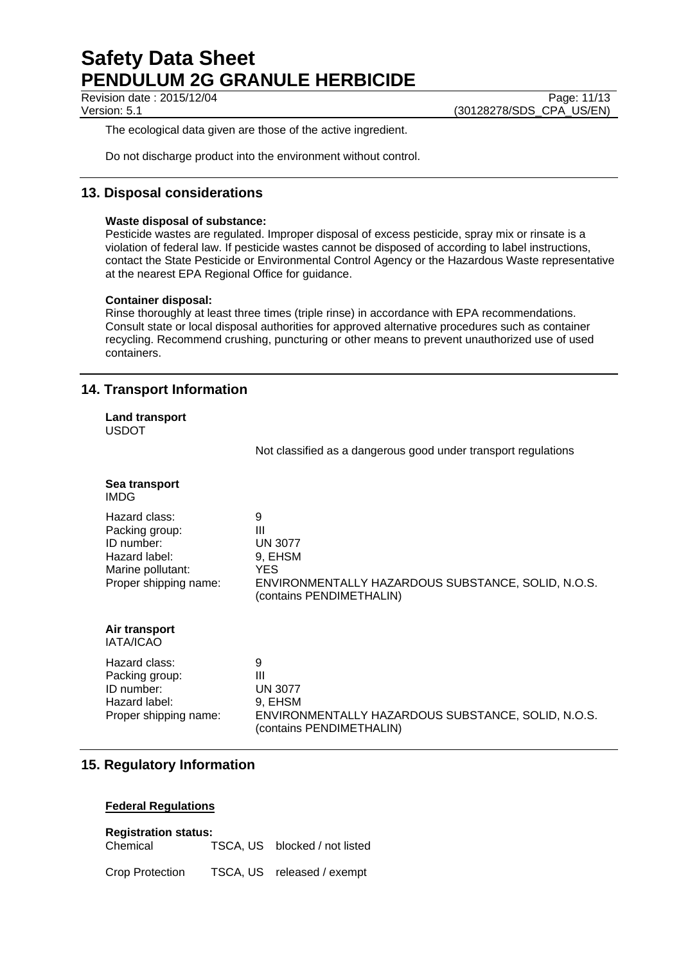Revision date : 2015/12/04 Page: 11/13

Version: 5.1 (30128278/SDS\_CPA\_US/EN)

The ecological data given are those of the active ingredient.

Do not discharge product into the environment without control.

# **13. Disposal considerations**

### **Waste disposal of substance:**

Pesticide wastes are regulated. Improper disposal of excess pesticide, spray mix or rinsate is a violation of federal law. If pesticide wastes cannot be disposed of according to label instructions, contact the State Pesticide or Environmental Control Agency or the Hazardous Waste representative at the nearest EPA Regional Office for guidance.

### **Container disposal:**

Rinse thoroughly at least three times (triple rinse) in accordance with EPA recommendations. Consult state or local disposal authorities for approved alternative procedures such as container recycling. Recommend crushing, puncturing or other means to prevent unauthorized use of used containers.

# **14. Transport Information**

| <b>Land transport</b><br><b>USDOT</b>                                                                        |                                                                                                                                                  |
|--------------------------------------------------------------------------------------------------------------|--------------------------------------------------------------------------------------------------------------------------------------------------|
|                                                                                                              | Not classified as a dangerous good under transport regulations                                                                                   |
| Sea transport<br><b>IMDG</b>                                                                                 |                                                                                                                                                  |
| Hazard class:<br>Packing group:<br>ID number:<br>Hazard label:<br>Marine pollutant:<br>Proper shipping name: | 9<br>$\mathbf{III}$<br><b>UN 3077</b><br>9, EHSM<br><b>YES</b><br>ENVIRONMENTALLY HAZARDOUS SUBSTANCE, SOLID, N.O.S.<br>(contains PENDIMETHALIN) |
| Air transport<br><b>IATA/ICAO</b>                                                                            |                                                                                                                                                  |
| Hazard class:<br>Packing group:<br>ID number:<br>Hazard label:<br>Proper shipping name:                      | 9<br>$\mathbf{III}$<br><b>UN 3077</b><br>9, EHSM<br>ENVIRONMENTALLY HAZARDOUS SUBSTANCE, SOLID, N.O.S.<br>(contains PENDIMETHALIN)               |

# **15. Regulatory Information**

# **Federal Regulations**

# **Registration status:**

Chemical TSCA, US blocked / not listed

| <b>Crop Protection</b> | TSCA, US | released / exempt |  |
|------------------------|----------|-------------------|--|
|------------------------|----------|-------------------|--|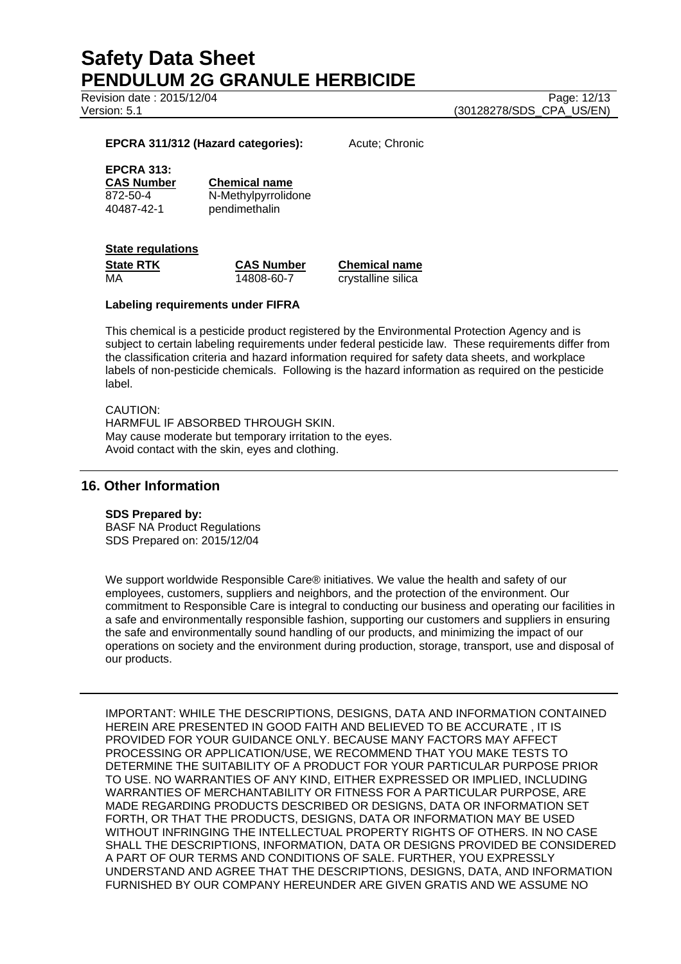Revision date : 2015/12/04 Page: 12/13

Version: 5.1 (30128278/SDS\_CPA\_US/EN)

#### **EPCRA 311/312 (Hazard categories):** Acute; Chronic

# **EPCRA 313:**

**CAS Number Chemical name** 872-50-4 N-Methylpyrrolidone 40487-42-1 pendimethalin

#### **State regulations**

| <b>State RTK</b> | <b>CAS Number</b> | <b>Chemical name</b> |
|------------------|-------------------|----------------------|
| MA               | 14808-60-7        | crystalline silica   |

#### **Labeling requirements under FIFRA**

This chemical is a pesticide product registered by the Environmental Protection Agency and is subject to certain labeling requirements under federal pesticide law. These requirements differ from the classification criteria and hazard information required for safety data sheets, and workplace labels of non-pesticide chemicals. Following is the hazard information as required on the pesticide label.

### CAUTION:

HARMFUL IF ABSORBED THROUGH SKIN. May cause moderate but temporary irritation to the eyes. Avoid contact with the skin, eyes and clothing.

#### **16. Other Information**

#### **SDS Prepared by:**

BASF NA Product Regulations SDS Prepared on: 2015/12/04

We support worldwide Responsible Care® initiatives. We value the health and safety of our employees, customers, suppliers and neighbors, and the protection of the environment. Our commitment to Responsible Care is integral to conducting our business and operating our facilities in a safe and environmentally responsible fashion, supporting our customers and suppliers in ensuring the safe and environmentally sound handling of our products, and minimizing the impact of our operations on society and the environment during production, storage, transport, use and disposal of our products.

IMPORTANT: WHILE THE DESCRIPTIONS, DESIGNS, DATA AND INFORMATION CONTAINED HEREIN ARE PRESENTED IN GOOD FAITH AND BELIEVED TO BE ACCURATE , IT IS PROVIDED FOR YOUR GUIDANCE ONLY. BECAUSE MANY FACTORS MAY AFFECT PROCESSING OR APPLICATION/USE, WE RECOMMEND THAT YOU MAKE TESTS TO DETERMINE THE SUITABILITY OF A PRODUCT FOR YOUR PARTICULAR PURPOSE PRIOR TO USE. NO WARRANTIES OF ANY KIND, EITHER EXPRESSED OR IMPLIED, INCLUDING WARRANTIES OF MERCHANTABILITY OR FITNESS FOR A PARTICULAR PURPOSE, ARE MADE REGARDING PRODUCTS DESCRIBED OR DESIGNS, DATA OR INFORMATION SET FORTH, OR THAT THE PRODUCTS, DESIGNS, DATA OR INFORMATION MAY BE USED WITHOUT INFRINGING THE INTELLECTUAL PROPERTY RIGHTS OF OTHERS. IN NO CASE SHALL THE DESCRIPTIONS, INFORMATION, DATA OR DESIGNS PROVIDED BE CONSIDERED A PART OF OUR TERMS AND CONDITIONS OF SALE. FURTHER, YOU EXPRESSLY UNDERSTAND AND AGREE THAT THE DESCRIPTIONS, DESIGNS, DATA, AND INFORMATION FURNISHED BY OUR COMPANY HEREUNDER ARE GIVEN GRATIS AND WE ASSUME NO